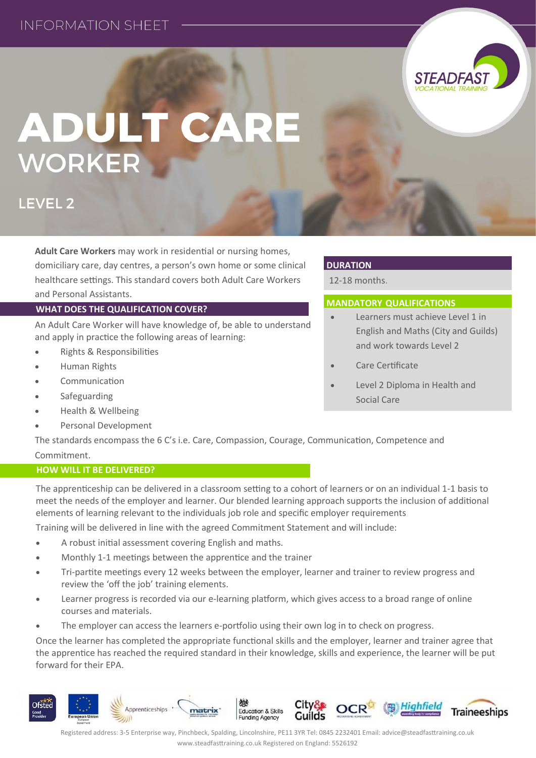

# **ADULT CARE WORKER**

**LEVEL 2** 

**Adult Care Workers** may work in residential or nursing homes, domiciliary care, day centres, a person's own home or some clinical healthcare settings. This standard covers both Adult Care Workers and Personal Assistants.

## **WHAT DOES THE QUALIFICATION COVER?**

An Adult Care Worker will have knowledge of, be able to understand and apply in practice the following areas of learning:

- Rights & Responsibilities
- Human Rights
- Communication
- Safeguarding
- Health & Wellbeing
- Personal Development

### **DURATION**

12-18 months.

## **MANDATORY QUALIFICATIONS**

- Learners must achieve Level 1 in English and Maths (City and Guilds) and work towards Level 2
- Care Certificate
- Level 2 Diploma in Health and Social Care

The standards encompass the 6 C's i.e. Care, Compassion, Courage, Communication, Competence and Commitment.

### **HOW WILL IT BE DELIVERED?**

The apprenticeship can be delivered in a classroom setting to a cohort of learners or on an individual 1-1 basis to meet the needs of the employer and learner. Our blended learning approach supports the inclusion of additional elements of learning relevant to the individuals job role and specific employer requirements

Training will be delivered in line with the agreed Commitment Statement and will include:

- A robust initial assessment covering English and maths.
- Monthly 1-1 meetings between the apprentice and the trainer
- Tri-partite meetings every 12 weeks between the employer, learner and trainer to review progress and review the 'off the job' training elements.
- Learner progress is recorded via our e-learning platform, which gives access to a broad range of online courses and materials.
- The employer can access the learners e-portfolio using their own log in to check on progress.

Once the learner has completed the appropriate functional skills and the employer, learner and trainer agree that the apprentice has reached the required standard in their knowledge, skills and experience, the learner will be put forward for their EPA.

Registered address: 3-5 Enterprise way, Pinchbeck, Spalding, Lincolnshire, PE11 3YR Tel: 0845 2232401 Email: advice@steadfasttraining.co.uk www.steadfasttraining.co.uk Registered on England: 5526192